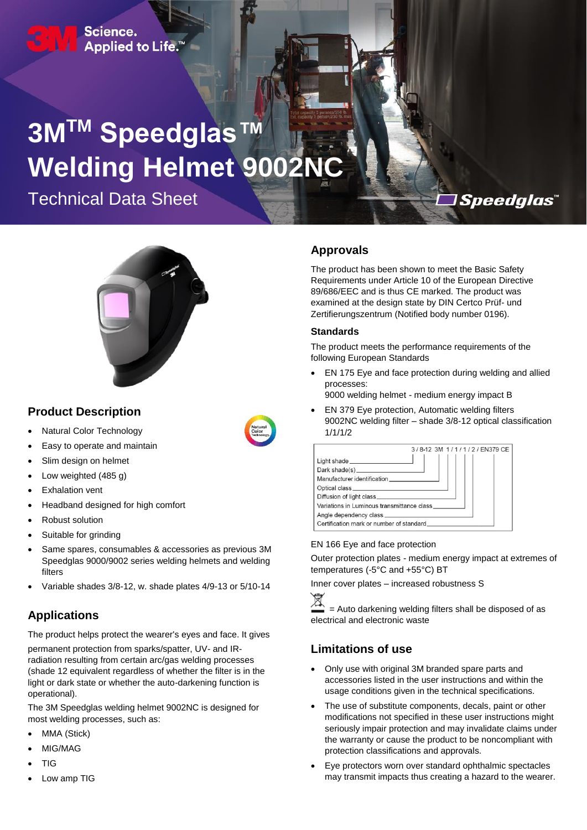Science. Applied to Life.<sup>™</sup>

# **3MTM Speedglas™**  Welding Helmet 9002N

Technical Data Sheet



## **Product Description**

- Natural Color Technology
- Easy to operate and maintain
- Slim design on helmet
- Low weighted (485 g)
- Exhalation vent
- Headband designed for high comfort
- Robust solution
- Suitable for grinding
- Same spares, consumables & accessories as previous 3M Speedglas 9000/9002 series welding helmets and welding filters
- Variable shades 3/8-12, w. shade plates 4/9-13 or 5/10-14

# **Applications**

The product helps protect the wearer's eyes and face. It gives

permanent protection from sparks/spatter, UV- and IRradiation resulting from certain arc/gas welding processes (shade 12 equivalent regardless of whether the filter is in the light or dark state or whether the auto-darkening function is operational).

The 3M Speedglas welding helmet 9002NC is designed for most welding processes, such as:

- MMA (Stick)
- MIG/MAG
- TIG
- Low amp TIG

#### **Approvals**

The product has been shown to meet the Basic Safety Requirements under Article 10 of the European Directive 89/686/EEC and is thus CE marked. The product was examined at the design state by DIN Certco Prüf- und Zertifierungszentrum (Notified body number 0196).

*Speedglas* 

#### **Standards**

The product meets the performance requirements of the following European Standards

 EN 175 Eye and face protection during welding and allied processes:

9000 welding helmet - medium energy impact B

 EN 379 Eye protection, Automatic welding filters 9002NC welding filter – shade 3/8-12 optical classification 1/1/1/2

|                                            | 3/8-12 3M 1/1/1/2/EN379 CE |
|--------------------------------------------|----------------------------|
|                                            |                            |
|                                            |                            |
| Manufacturer identification                |                            |
|                                            |                            |
|                                            |                            |
| Variations in Luminous transmittance class |                            |
|                                            |                            |
| Certification mark or number of standard   |                            |

#### EN 166 Eye and face protection

Outer protection plates - medium energy impact at extremes of temperatures (-5°C and +55°C) BT

Inner cover plates – increased robustness S



 = Auto darkening welding filters shall be disposed of as electrical and electronic waste

# **Limitations of use**

- Only use with original 3M branded spare parts and accessories listed in the user instructions and within the usage conditions given in the technical specifications.
- The use of substitute components, decals, paint or other modifications not specified in these user instructions might seriously impair protection and may invalidate claims under the warranty or cause the product to be noncompliant with protection classifications and approvals.
- Eye protectors worn over standard ophthalmic spectacles may transmit impacts thus creating a hazard to the wearer.